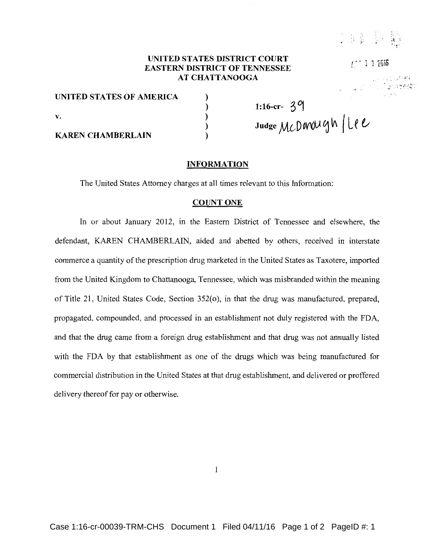·~ \ '

 $r^*$  1 1  $1516$ 

್ಲ ಸಂದರ್ಶ lgnasekt

### **UNITED STATES DISTRICT COURT EASTERN DISTRICT OF TENNESSEE AT CHATTANOOGA**

) ) ) ) )

**UNITED STATES OF AMERICA**  v. **KAREN CHAMBERLAIN** 

**1:16-cr- 3D{ Judge** *ML-***D** *oV'l)U* ~ **lA** *<sup>1</sup>***L** ~ **t;** 

#### **INFORMATION**

The United States Attorney charges at all times relevant to this Information:

#### **COUNT ONE**

In or about January 2012, in the Eastern District of Tennessee and elsewhere, the defendant, KAREN CHAMBERLAIN, aided and abetted by others, received in interstate commerce a quantity of the prescription drug marketed in the United States as Taxotere, imported from the United Kingdom to Chattanooga, Tennessee, which was misbranded within the meaning of Title 21, United States Code, Section 352(o), in that the drug was manufactured, prepared, propagated, compounded, and processed in an establishment not duly registered with the FDA, and that the drug carne from a foreign drug establishment and that drug was not annually listed with the FDA by that establishment as one of the drugs which was being manufactured for commercial distribution in the United States at that drug establishment, and delivered or proffered delivery thereof for pay or otherwise.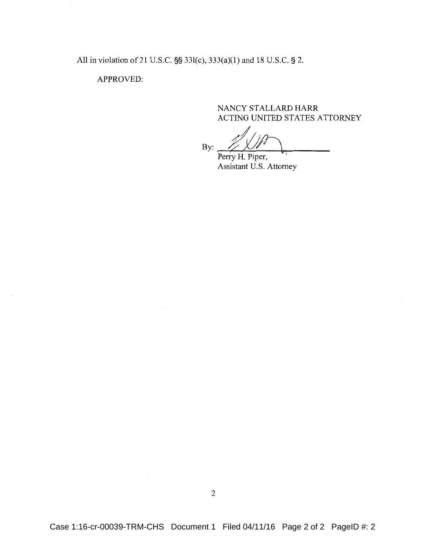All in violation of 21 U.S.C. §§ 331(c), 333(a)(1) and 18 U.S.C. § 2.

## APPROVED:

## NANCY STALLARD HARR ACTING UNITED STATES ATTORNEY

By:  $\frac{1}{2}$ 

Perry H. Piper, Assistant U.S. Attorney